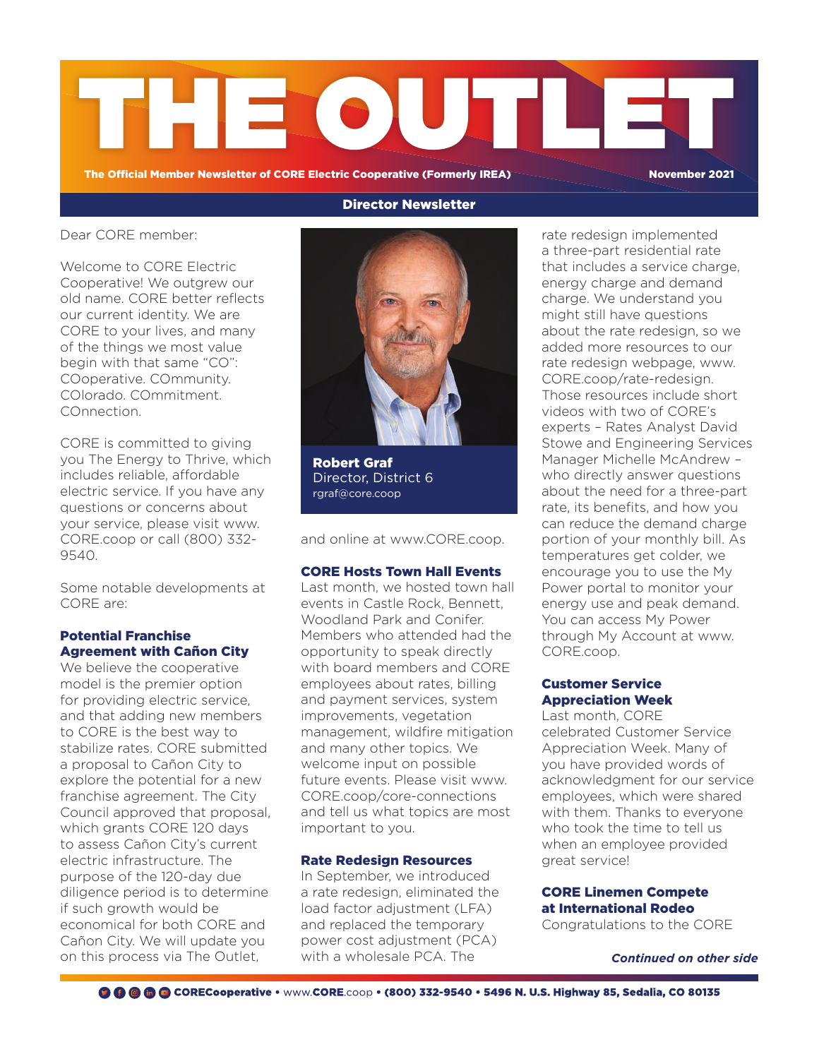

The Official Member Newsletter of CORE Electric Cooperative (Formerly IREA) November 2021

Dear CORE member:

Welcome to CORE Electric Cooperative! We outgrew our old name. CORE better reflects our current identity. We are CORE to your lives, and many of the things we most value begin with that same "CO": COoperative. COmmunity. COlorado. COmmitment. COnnection.

CORE is committed to giving you The Energy to Thrive, which includes reliable, affordable electric service. If you have any questions or concerns about your service, please visit www. CORE.coop or call (800) 332- 9540.

Some notable developments at CORE are:

### Potential Franchise Agreement with Cañon City

We believe the cooperative model is the premier option for providing electric service, and that adding new members to CORE is the best way to stabilize rates. CORE submitted a proposal to Cañon City to explore the potential for a new franchise agreement. The City Council approved that proposal, which grants CORE 120 days to assess Cañon City's current electric infrastructure. The purpose of the 120-day due diligence period is to determine if such growth would be economical for both CORE and Cañon City. We will update you on this process via The Outlet,

# Director Newsletter



Robert Graf Director, District 6 rgraf@core.coop

and online at www.CORE.coop.

### CORE Hosts Town Hall Events

Last month, we hosted town hall events in Castle Rock, Bennett, Woodland Park and Conifer. Members who attended had the opportunity to speak directly with board members and CORE employees about rates, billing and payment services, system improvements, vegetation management, wildfire mitigation and many other topics. We welcome input on possible future events. Please visit www. CORE.coop/core-connections and tell us what topics are most important to you.

### Rate Redesign Resources

In September, we introduced a rate redesign, eliminated the load factor adjustment (LFA) and replaced the temporary power cost adjustment (PCA) with a wholesale PCA. The

rate redesign implemented a three-part residential rate that includes a service charge, energy charge and demand charge. We understand you might still have questions about the rate redesign, so we added more resources to our rate redesign webpage, www. CORE.coop/rate-redesign. Those resources include short videos with two of CORE's experts – Rates Analyst David Stowe and Engineering Services Manager Michelle McAndrew – who directly answer questions about the need for a three-part rate, its benefits, and how you can reduce the demand charge portion of your monthly bill. As temperatures get colder, we encourage you to use the My Power portal to monitor your energy use and peak demand. You can access My Power through My Account at www. CORE.coop.

## Customer Service Appreciation Week

Last month, CORE celebrated Customer Service Appreciation Week. Many of you have provided words of acknowledgment for our service employees, which were shared with them. Thanks to everyone who took the time to tell us when an employee provided great service!

## CORE Linemen Compete at International Rodeo

Congratulations to the CORE

*Continued on other side*